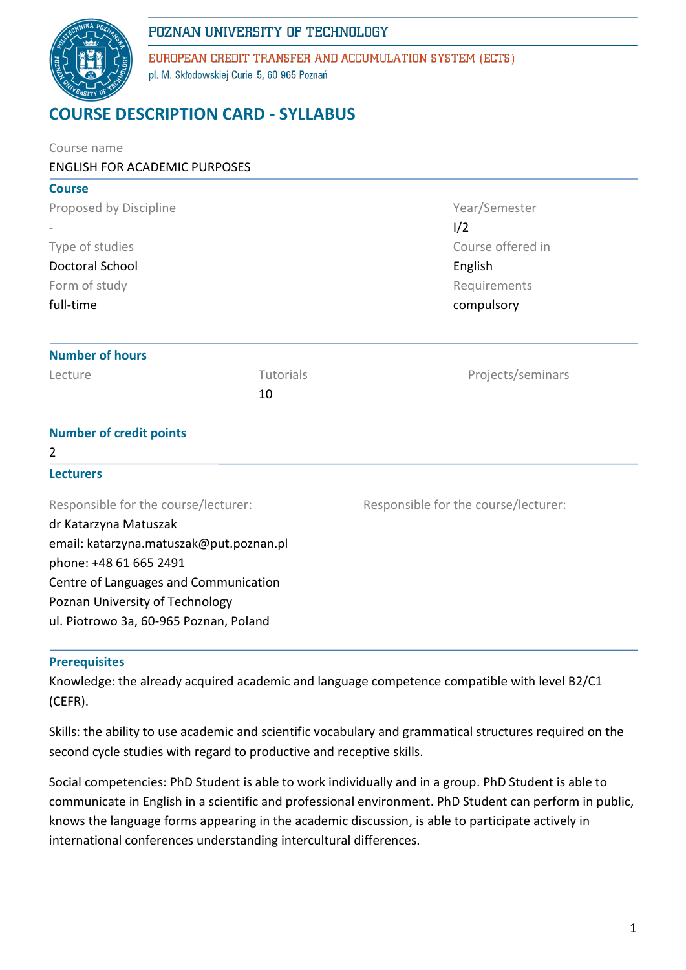

EUROPEAN CREDIT TRANSFER AND ACCUMULATION SYSTEM (ECTS) pl. M. Skłodowskiej-Curie 5, 60-965 Poznań

# **COURSE DESCRIPTION CARD - SYLLABUS**

| Course name                             |           |                                      |  |  |  |  |
|-----------------------------------------|-----------|--------------------------------------|--|--|--|--|
| <b>ENGLISH FOR ACADEMIC PURPOSES</b>    |           |                                      |  |  |  |  |
| <b>Course</b>                           |           |                                      |  |  |  |  |
| Proposed by Discipline                  |           | Year/Semester                        |  |  |  |  |
|                                         |           | 1/2                                  |  |  |  |  |
| Type of studies                         |           | Course offered in                    |  |  |  |  |
| <b>Doctoral School</b>                  |           | English                              |  |  |  |  |
| Form of study                           |           | Requirements                         |  |  |  |  |
| full-time                               |           | compulsory                           |  |  |  |  |
| <b>Number of hours</b>                  |           |                                      |  |  |  |  |
| Lecture                                 | Tutorials | Projects/seminars                    |  |  |  |  |
|                                         | 10        |                                      |  |  |  |  |
| <b>Number of credit points</b>          |           |                                      |  |  |  |  |
| $\overline{2}$                          |           |                                      |  |  |  |  |
| <b>Lecturers</b>                        |           |                                      |  |  |  |  |
| Responsible for the course/lecturer:    |           | Responsible for the course/lecturer: |  |  |  |  |
| dr Katarzyna Matuszak                   |           |                                      |  |  |  |  |
| email: katarzyna.matuszak@put.poznan.pl |           |                                      |  |  |  |  |
| phone: +48 61 665 2491                  |           |                                      |  |  |  |  |
| Centre of Languages and Communication   |           |                                      |  |  |  |  |
| Poznan University of Technology         |           |                                      |  |  |  |  |
| ul. Piotrowo 3a, 60-965 Poznan, Poland  |           |                                      |  |  |  |  |

### **Prerequisites**

Knowledge: the already acquired academic and language competence compatible with level B2/C1 (CEFR).

Skills: the ability to use academic and scientific vocabulary and grammatical structures required on the second cycle studies with regard to productive and receptive skills.

Social competencies: PhD Student is able to work individually and in a group. PhD Student is able to communicate in English in a scientific and professional environment. PhD Student can perform in public, knows the language forms appearing in the academic discussion, is able to participate actively in international conferences understanding intercultural differences.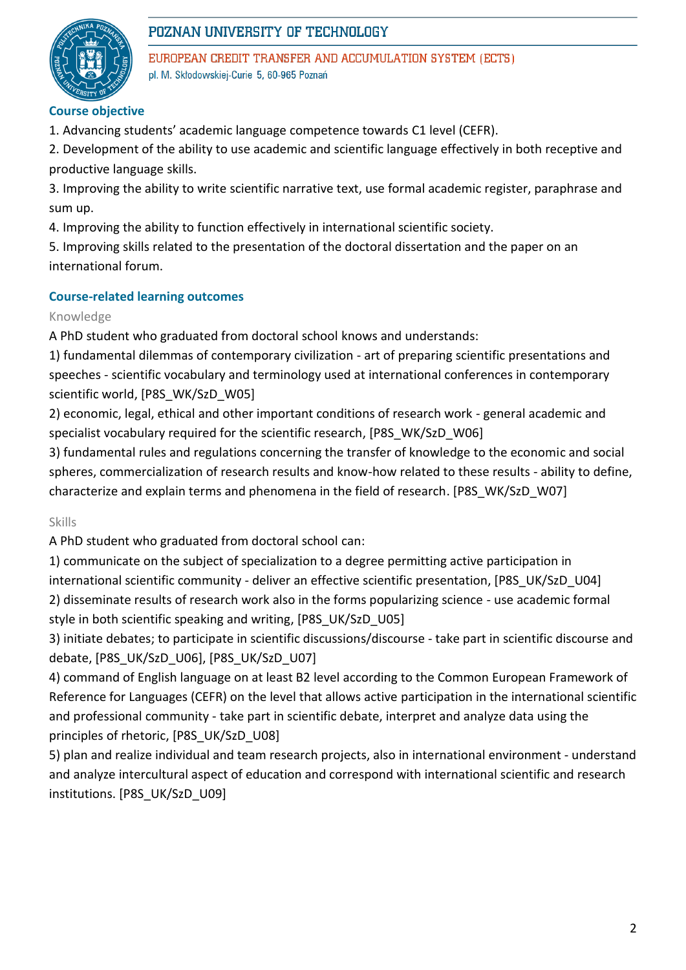

EUROPEAN CREDIT TRANSFER AND ACCUMULATION SYSTEM (ECTS) pl. M. Skłodowskiej-Curie 5, 60-965 Poznań

### **Course objective**

1. Advancing students' academic language competence towards C1 level (CEFR).

2. Development of the ability to use academic and scientific language effectively in both receptive and productive language skills.

3. Improving the ability to write scientific narrative text, use formal academic register, paraphrase and sum up.

4. Improving the ability to function effectively in international scientific society.

5. Improving skills related to the presentation of the doctoral dissertation and the paper on an international forum.

### **Course-related learning outcomes**

### Knowledge

A PhD student who graduated from doctoral school knows and understands:

1) fundamental dilemmas of contemporary civilization - art of preparing scientific presentations and speeches - scientific vocabulary and terminology used at international conferences in contemporary scientific world, [P8S\_WK/SzD\_W05]

2) economic, legal, ethical and other important conditions of research work - general academic and specialist vocabulary required for the scientific research, [P8S\_WK/SzD\_W06]

3) fundamental rules and regulations concerning the transfer of knowledge to the economic and social spheres, commercialization of research results and know-how related to these results - ability to define, characterize and explain terms and phenomena in the field of research. [P8S\_WK/SzD\_W07]

Skills

A PhD student who graduated from doctoral school can:

1) communicate on the subject of specialization to a degree permitting active participation in international scientific community - deliver an effective scientific presentation, [P8S\_UK/SzD\_U04] 2) disseminate results of research work also in the forms popularizing science - use academic formal style in both scientific speaking and writing, [P8S\_UK/SzD\_U05]

3) initiate debates; to participate in scientific discussions/discourse - take part in scientific discourse and debate, [P8S\_UK/SzD\_U06], [P8S\_UK/SzD\_U07]

4) command of English language on at least B2 level according to the Common European Framework of Reference for Languages (CEFR) on the level that allows active participation in the international scientific and professional community - take part in scientific debate, interpret and analyze data using the principles of rhetoric, [P8S\_UK/SzD\_U08]

5) plan and realize individual and team research projects, also in international environment - understand and analyze intercultural aspect of education and correspond with international scientific and research institutions. [P8S\_UK/SzD\_U09]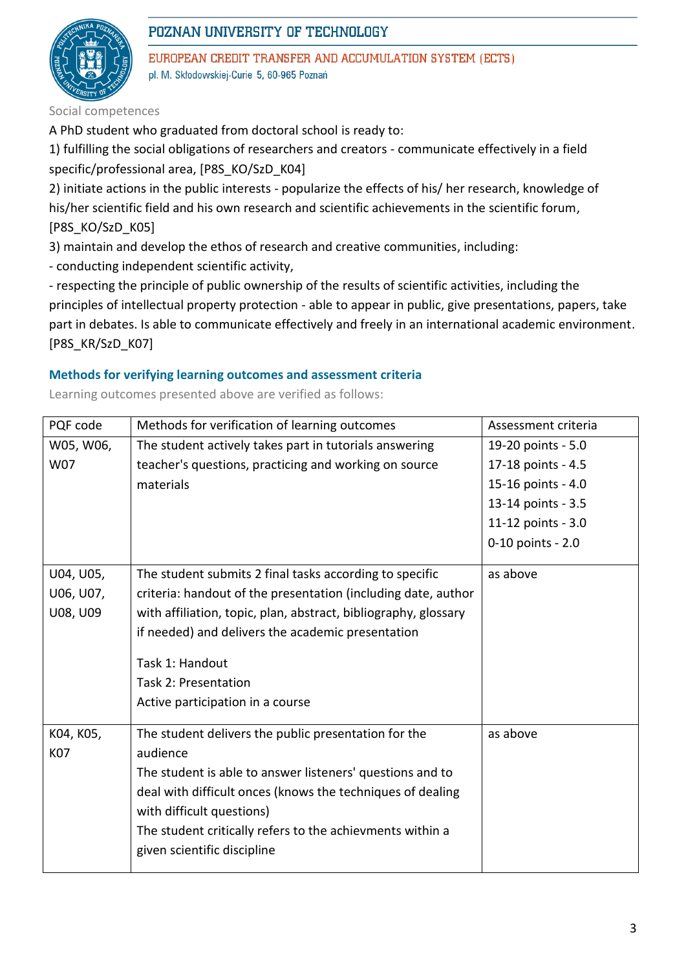

EUROPEAN CREDIT TRANSFER AND ACCUMULATION SYSTEM (ECTS) pl. M. Skłodowskiej-Curie 5, 60-965 Poznań

Social competences

A PhD student who graduated from doctoral school is ready to:

1) fulfilling the social obligations of researchers and creators - communicate effectively in a field specific/professional area, [P8S\_KO/SzD\_K04]

2) initiate actions in the public interests - popularize the effects of his/ her research, knowledge of his/her scientific field and his own research and scientific achievements in the scientific forum, [P8S\_KO/SzD\_K05]

3) maintain and develop the ethos of research and creative communities, including:

- conducting independent scientific activity,

- respecting the principle of public ownership of the results of scientific activities, including the principles of intellectual property protection - able to appear in public, give presentations, papers, take part in debates. Is able to communicate effectively and freely in an international academic environment. [P8S\_KR/SzD\_K07]

### **Methods for verifying learning outcomes and assessment criteria**

Learning outcomes presented above are verified as follows:

| PQF code   | Methods for verification of learning outcomes                   | Assessment criteria |
|------------|-----------------------------------------------------------------|---------------------|
| W05, W06,  | The student actively takes part in tutorials answering          | 19-20 points - 5.0  |
| W07        | teacher's questions, practicing and working on source           | 17-18 points - 4.5  |
|            | materials                                                       | 15-16 points - 4.0  |
|            |                                                                 | 13-14 points - 3.5  |
|            |                                                                 | 11-12 points - 3.0  |
|            |                                                                 | 0-10 points - 2.0   |
| U04, U05,  | The student submits 2 final tasks according to specific         | as above            |
| U06, U07,  | criteria: handout of the presentation (including date, author   |                     |
| U08, U09   | with affiliation, topic, plan, abstract, bibliography, glossary |                     |
|            | if needed) and delivers the academic presentation               |                     |
|            | Task 1: Handout                                                 |                     |
|            | Task 2: Presentation                                            |                     |
|            | Active participation in a course                                |                     |
|            |                                                                 |                     |
| K04, K05,  | The student delivers the public presentation for the            | as above            |
| <b>K07</b> | audience                                                        |                     |
|            | The student is able to answer listeners' questions and to       |                     |
|            | deal with difficult onces (knows the techniques of dealing      |                     |
|            | with difficult questions)                                       |                     |
|            | The student critically refers to the achievments within a       |                     |
|            | given scientific discipline                                     |                     |
|            |                                                                 |                     |